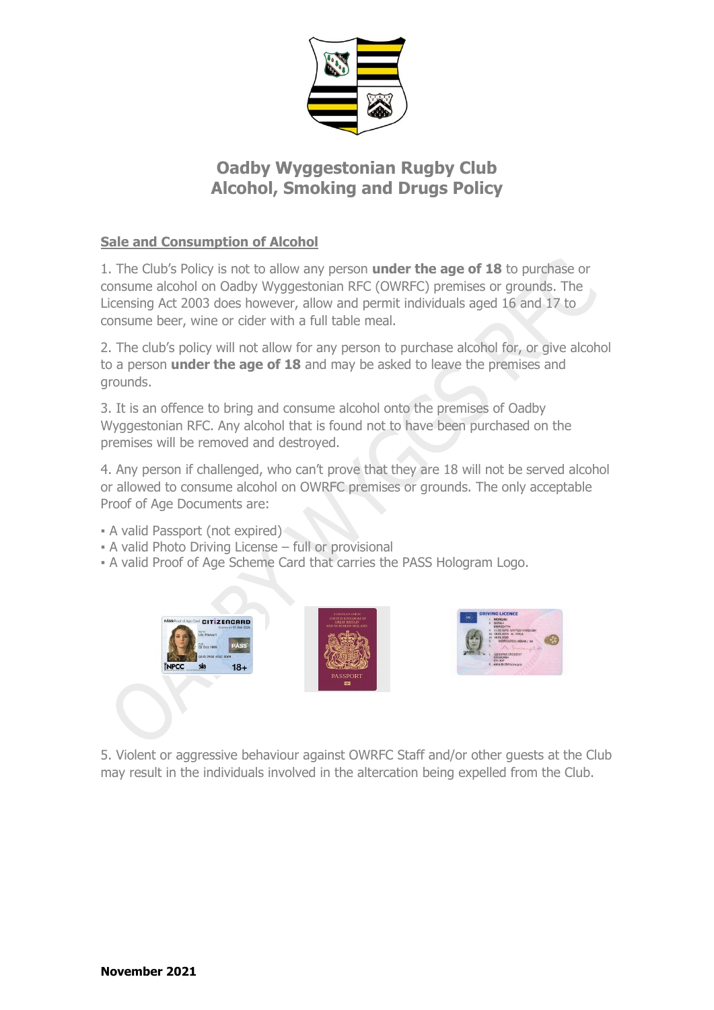

# **Oadby Wyggestonian Rugby Club Alcohol, Smoking and Drugs Policy**

## **Sale and Consumption of Alcohol**

1. The Club's Policy is not to allow any person **under the age of 18** to purchase or consume alcohol on Oadby Wyggestonian RFC (OWRFC) premises or grounds. The Licensing Act 2003 does however, allow and permit individuals aged 16 and 17 to consume beer, wine or cider with a full table meal.

2. The club's policy will not allow for any person to purchase alcohol for, or give alcohol to a person **under the age of 18** and may be asked to leave the premises and grounds.

3. It is an offence to bring and consume alcohol onto the premises of Oadby Wyggestonian RFC. Any alcohol that is found not to have been purchased on the premises will be removed and destroyed.

4. Any person if challenged, who can't prove that they are 18 will not be served alcohol or allowed to consume alcohol on OWRFC premises or grounds. The only acceptable Proof of Age Documents are:

- **A valid Passport (not expired)**
- A valid Photo Driving License full or provisional
- A valid Proof of Age Scheme Card that carries the PASS Hologram Logo.





5. Violent or aggressive behaviour against OWRFC Staff and/or other guests at the Club may result in the individuals involved in the altercation being expelled from the Club.